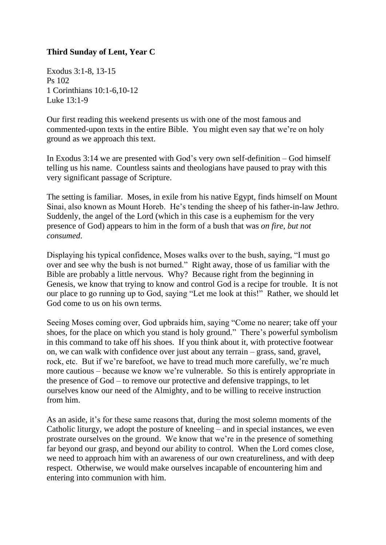## **Third Sunday of Lent, Year C**

Exodus 3:1-8, 13-15 Ps 102 1 Corinthians 10:1-6,10-12 Luke 13:1-9

Our first reading this weekend presents us with one of the most famous and commented-upon texts in the entire Bible. You might even say that we're on holy ground as we approach this text.

In Exodus 3:14 we are presented with God's very own self-definition – God himself telling us his name. Countless saints and theologians have paused to pray with this very significant passage of Scripture.

The setting is familiar. Moses, in exile from his native Egypt, finds himself on Mount Sinai, also known as Mount Horeb. He's tending the sheep of his father-in-law Jethro. Suddenly, the angel of the Lord (which in this case is a euphemism for the very presence of God) appears to him in the form of a bush that was *on fire, but not consumed*.

Displaying his typical confidence, Moses walks over to the bush, saying, "I must go over and see why the bush is not burned." Right away, those of us familiar with the Bible are probably a little nervous. Why? Because right from the beginning in Genesis, we know that trying to know and control God is a recipe for trouble. It is not our place to go running up to God, saying "Let me look at this!" Rather, we should let God come to us on his own terms.

Seeing Moses coming over, God upbraids him, saying "Come no nearer; take off your shoes, for the place on which you stand is holy ground." There's powerful symbolism in this command to take off his shoes. If you think about it, with protective footwear on, we can walk with confidence over just about any terrain – grass, sand, gravel, rock, etc. But if we're barefoot, we have to tread much more carefully, we're much more cautious – because we know we're vulnerable. So this is entirely appropriate in the presence of God – to remove our protective and defensive trappings, to let ourselves know our need of the Almighty, and to be willing to receive instruction from him.

As an aside, it's for these same reasons that, during the most solemn moments of the Catholic liturgy, we adopt the posture of kneeling – and in special instances, we even prostrate ourselves on the ground. We know that we're in the presence of something far beyond our grasp, and beyond our ability to control. When the Lord comes close, we need to approach him with an awareness of our own creatureliness, and with deep respect. Otherwise, we would make ourselves incapable of encountering him and entering into communion with him.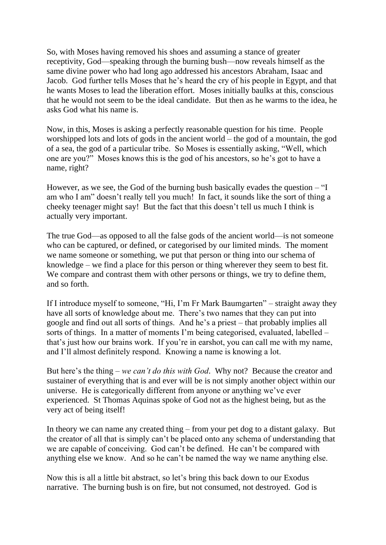So, with Moses having removed his shoes and assuming a stance of greater receptivity, God—speaking through the burning bush—now reveals himself as the same divine power who had long ago addressed his ancestors Abraham, Isaac and Jacob. God further tells Moses that he's heard the cry of his people in Egypt, and that he wants Moses to lead the liberation effort. Moses initially baulks at this, conscious that he would not seem to be the ideal candidate. But then as he warms to the idea, he asks God what his name is.

Now, in this, Moses is asking a perfectly reasonable question for his time. People worshipped lots and lots of gods in the ancient world – the god of a mountain, the god of a sea, the god of a particular tribe. So Moses is essentially asking, "Well, which one are you?" Moses knows this is the god of his ancestors, so he's got to have a name, right?

However, as we see, the God of the burning bush basically evades the question – "I am who I am" doesn't really tell you much! In fact, it sounds like the sort of thing a cheeky teenager might say! But the fact that this doesn't tell us much I think is actually very important.

The true God—as opposed to all the false gods of the ancient world—is not someone who can be captured, or defined, or categorised by our limited minds. The moment we name someone or something, we put that person or thing into our schema of knowledge – we find a place for this person or thing wherever they seem to best fit. We compare and contrast them with other persons or things, we try to define them, and so forth.

If I introduce myself to someone, "Hi, I'm Fr Mark Baumgarten" – straight away they have all sorts of knowledge about me. There's two names that they can put into google and find out all sorts of things. And he's a priest – that probably implies all sorts of things. In a matter of moments I'm being categorised, evaluated, labelled – that's just how our brains work. If you're in earshot, you can call me with my name, and I'll almost definitely respond. Knowing a name is knowing a lot.

But here's the thing – *we can't do this with God*. Why not? Because the creator and sustainer of everything that is and ever will be is not simply another object within our universe. He is categorically different from anyone or anything we've ever experienced. St Thomas Aquinas spoke of God not as the highest being, but as the very act of being itself!

In theory we can name any created thing – from your pet dog to a distant galaxy. But the creator of all that is simply can't be placed onto any schema of understanding that we are capable of conceiving. God can't be defined. He can't be compared with anything else we know. And so he can't be named the way we name anything else.

Now this is all a little bit abstract, so let's bring this back down to our Exodus narrative. The burning bush is on fire, but not consumed, not destroyed. God is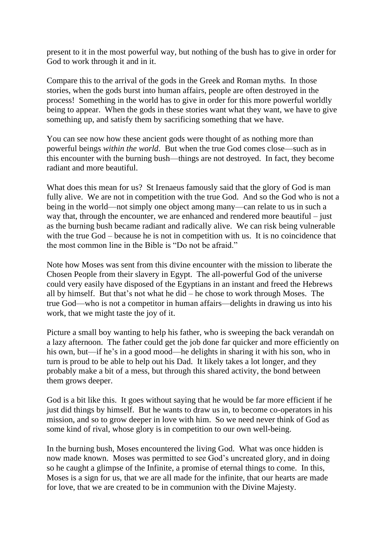present to it in the most powerful way, but nothing of the bush has to give in order for God to work through it and in it.

Compare this to the arrival of the gods in the Greek and Roman myths. In those stories, when the gods burst into human affairs, people are often destroyed in the process! Something in the world has to give in order for this more powerful worldly being to appear. When the gods in these stories want what they want, we have to give something up, and satisfy them by sacrificing something that we have.

You can see now how these ancient gods were thought of as nothing more than powerful beings *within the world*. But when the true God comes close—such as in this encounter with the burning bush—things are not destroyed. In fact, they become radiant and more beautiful.

What does this mean for us? St Irenaeus famously said that the glory of God is man fully alive. We are not in competition with the true God. And so the God who is not a being in the world—not simply one object among many—can relate to us in such a way that, through the encounter, we are enhanced and rendered more beautiful – just as the burning bush became radiant and radically alive. We can risk being vulnerable with the true God – because he is not in competition with us. It is no coincidence that the most common line in the Bible is "Do not be afraid."

Note how Moses was sent from this divine encounter with the mission to liberate the Chosen People from their slavery in Egypt. The all-powerful God of the universe could very easily have disposed of the Egyptians in an instant and freed the Hebrews all by himself. But that's not what he did – he chose to work through Moses. The true God—who is not a competitor in human affairs—delights in drawing us into his work, that we might taste the joy of it.

Picture a small boy wanting to help his father, who is sweeping the back verandah on a lazy afternoon. The father could get the job done far quicker and more efficiently on his own, but—if he's in a good mood—he delights in sharing it with his son, who in turn is proud to be able to help out his Dad. It likely takes a lot longer, and they probably make a bit of a mess, but through this shared activity, the bond between them grows deeper.

God is a bit like this. It goes without saying that he would be far more efficient if he just did things by himself. But he wants to draw us in, to become co-operators in his mission, and so to grow deeper in love with him. So we need never think of God as some kind of rival, whose glory is in competition to our own well-being.

In the burning bush, Moses encountered the living God. What was once hidden is now made known. Moses was permitted to see God's uncreated glory, and in doing so he caught a glimpse of the Infinite, a promise of eternal things to come. In this, Moses is a sign for us, that we are all made for the infinite, that our hearts are made for love, that we are created to be in communion with the Divine Majesty.